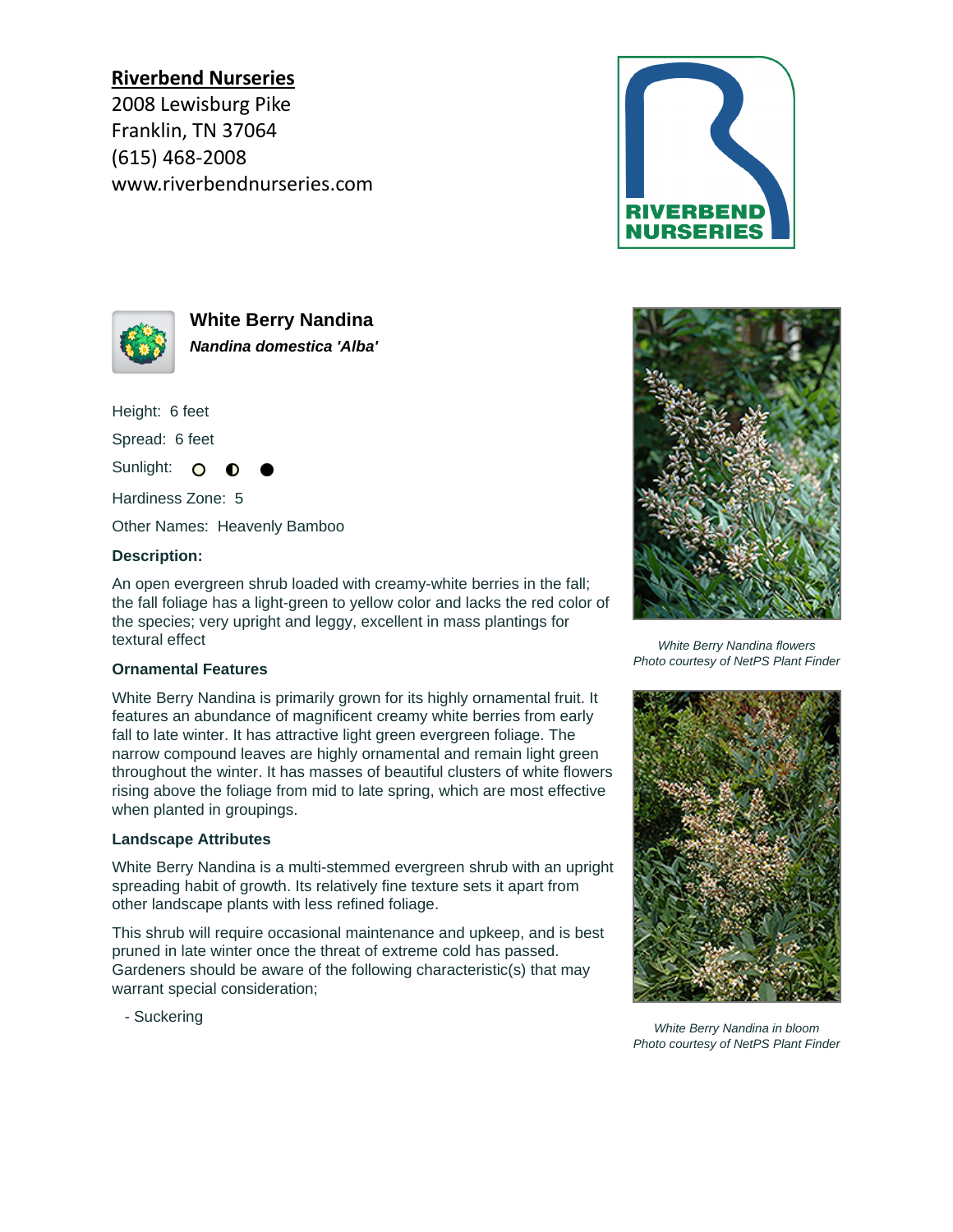# **Riverbend Nurseries**

2008 Lewisburg Pike Franklin, TN 37064 (615) 468-2008 www.riverbendnurseries.com





**White Berry Nandina Nandina domestica 'Alba'**

Height: 6 feet

Spread: 6 feet

Sunlight: O

Hardiness Zone: 5

Other Names: Heavenly Bamboo

#### **Description:**

An open evergreen shrub loaded with creamy-white berries in the fall; the fall foliage has a light-green to yellow color and lacks the red color of the species; very upright and leggy, excellent in mass plantings for textural effect

#### **Ornamental Features**

White Berry Nandina is primarily grown for its highly ornamental fruit. It features an abundance of magnificent creamy white berries from early fall to late winter. It has attractive light green evergreen foliage. The narrow compound leaves are highly ornamental and remain light green throughout the winter. It has masses of beautiful clusters of white flowers rising above the foliage from mid to late spring, which are most effective when planted in groupings.

#### **Landscape Attributes**

White Berry Nandina is a multi-stemmed evergreen shrub with an upright spreading habit of growth. Its relatively fine texture sets it apart from other landscape plants with less refined foliage.

This shrub will require occasional maintenance and upkeep, and is best pruned in late winter once the threat of extreme cold has passed. Gardeners should be aware of the following characteristic(s) that may warrant special consideration;

- Suckering



White Berry Nandina flowers Photo courtesy of NetPS Plant Finder



White Berry Nandina in bloom Photo courtesy of NetPS Plant Finder